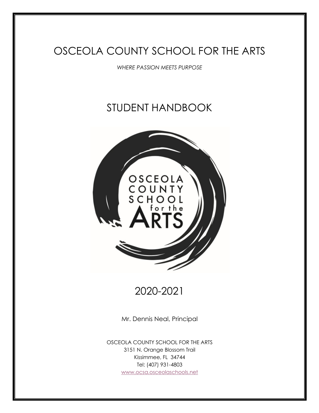# OSCEOLA COUNTY SCHOOL FOR THE ARTS

*WHERE PASSION MEETS PURPOSE*

# STUDENT HANDBOOK



# 2020-2021

Mr. Dennis Neal, Principal

OSCEOLA COUNTY SCHOOL FOR THE ARTS 3151 N. Orange Blossom Trail Kissimmee, FL 34744 Tel: (407) 931-4803 www.ocsa.osceolaschools.net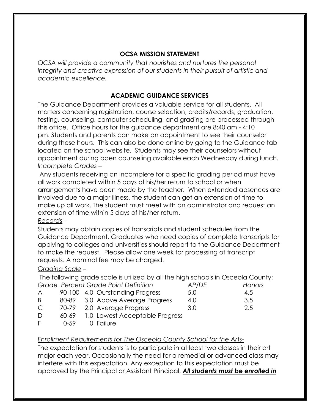## **OCSA MISSION STATEMENT**

*OCSA will provide a community that nourishes and nurtures the personal integrity and creative expression of our students in their pursuit of artistic and academic excellence.*

## **ACADEMIC GUIDANCE SERVICES**

The Guidance Department provides a valuable service for all students. All matters concerning registration, course selection, credits/records, graduation, testing, counseling, computer scheduling, and grading are processed through this office. Office hours for the guidance department are 8:40 am - 4:10 pm. Students and parents can make an appointment to see their counselor during these hours. This can also be done online by going to the Guidance tab located on the school website. Students may see their counselors without appointment during open counseling available each Wednesday during lunch. *Incomplete Grades* –

Any students receiving an incomplete for a specific grading period must have all work completed within 5 days of his/her return to school or when arrangements have been made by the teacher. When extended absences are involved due to a major illness, the student can get an extension of time to make up all work. The student must meet with an administrator and request an extension of time within 5 days of his/her return. *Records* –

Students may obtain copies of transcripts and student schedules from the Guidance Department. Graduates who need copies of complete transcripts for applying to colleges and universities should report to the Guidance Department to make the request. Please allow one week for processing of transcript requests. A nominal fee may be charged.

## *Grading Scale* –

The following grade scale is utilized by all the high schools in Osceola County: *Grade Percent Grade Point Definition AP/DE Honors* A 90-100 4.0 Outstanding Progress 5.0 4.5

| $\sqrt{ }$ | 70-TOO 4.0 OUISIGHUILIG LIOGLESS     | J.U | —∴  |
|------------|--------------------------------------|-----|-----|
| B          | 80-89 3.0 Above Average Progress     | 4.0 | 3.5 |
| C.         | 70-79 2.0 Average Progress           | 3.0 | 2.5 |
| D          | 60-69 1.0 Lowest Acceptable Progress |     |     |

F 0-59 0 Failure

## *Enrollment Requirements for The Osceola County School for the Ar*ts-

The expectation for students is to participate in at least two classes in their art major each year. Occasionally the need for a remedial or advanced class may interfere with this expectation. Any exception to this expectation must be approved by the Principal or Assistant Principal. *All students must be enrolled in*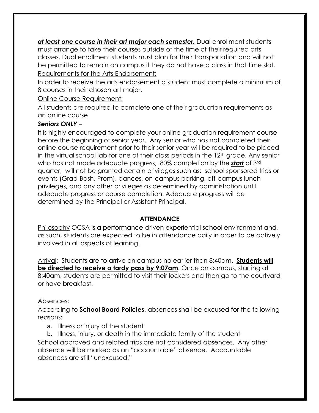*at least one course in their art major each semester.* Dual enrollment students must arrange to take their courses outside of the time of their required arts classes. Dual enrollment students must plan for their transportation and will not be permitted to remain on campus if they do not have a class in that time slot. Requirements for the Arts Endorsement:

In order to receive the arts endorsement a student must complete a minimum of 8 courses in their chosen art major.

Online Course Requirement:

All students are required to complete one of their graduation requirements as an online course

# *Seniors ONLY* –

It is highly encouraged to complete your online graduation requirement course before the beginning of senior year. Any senior who has not completed their online course requirement prior to their senior year will be required to be placed in the virtual school lab for one of their class periods in the 12<sup>th</sup> grade. Any senior who has not made adequate progress, 80% completion by the *start* of 3rd quarter, will not be granted certain privileges such as: school sponsored trips or events (Grad-Bash, Prom), dances, on-campus parking, off-campus lunch privileges, and any other privileges as determined by administration until adequate progress or course completion. Adequate progress will be determined by the Principal or Assistant Principal.

# **ATTENDANCE**

Philosophy OCSA is a performance-driven experiential school environment and, as such, students are expected to be in attendance daily in order to be actively involved in all aspects of learning.

Arrival: Students are to arrive on campus no earlier than 8:40am. **Students will be directed to receive a tardy pass by 9:07am**. Once on campus, starting at 8:40am, students are permitted to visit their lockers and then go to the courtyard or have breakfast.

# Absences:

According to **School Board Policies,** absences shall be excused for the following reasons:

- a. Illness or injury of the student
- b. Illness, injury, or death in the immediate family of the student

School approved and related trips are not considered absences. Any other absence will be marked as an "accountable" absence. Accountable absences are still "unexcused."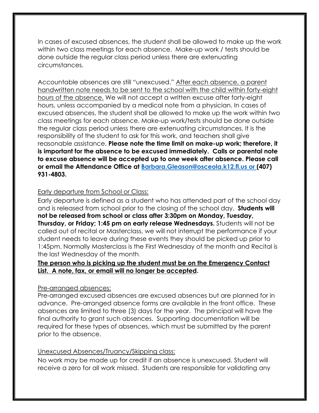In cases of excused absences, the student shall be allowed to make up the work within two class meetings for each absence. Make-up work / tests should be done outside the regular class period unless there are extenuating circumstances.

Accountable absences are still "unexcused." After each absence, a parent handwritten note needs to be sent to the school with the child within forty-eight hours of the absence. We will not accept a written excuse after forty-eight hours, unless accompanied by a medical note from a physician. In cases of excused absences, the student shall be allowed to make up the work within two class meetings for each absence. Make-up work/tests should be done outside the regular class period unless there are extenuating circumstances. It is the responsibility of the student to ask for this work, and teachers shall give reasonable assistance. **Please note the time limit on make-up work; therefore, it is important for the absence to be excused immediately. Calls or parental note to excuse absence will be accepted up to one week after absence. Please call or email the Attendance Office at Barbara.Gleason@osceola.k12.fl.us or (407) 931-4803.** 

## Early departure from School or Class:

Early departure is defined as a student who has attended part of the school day and is released from school prior to the closing of the school day. **Students will not be released from school or class after 3:30pm on Monday, Tuesday, Thursday, or Friday; 1:45 pm on early release Wednesdays.** Students will not be called out of recital or Masterclass, we will not interrupt the performance if your student needs to leave during these events they should be picked up prior to 1:45pm. Normally Masterclass is the First Wednesday of the month and Recital is the last Wednesday of the month.

## **The person who is picking up the student must be on the Emergency Contact List. A note, fax, or email will no longer be accepted.**

## Pre-arranged absences:

Pre-arranged excused absences are excused absences but are planned for in advance. Pre-arranged absence forms are available in the front office. These absences are limited to three (3) days for the year. The principal will have the final authority to grant such absences. Supporting documentation will be required for these types of absences, which must be submitted by the parent prior to the absence.

## Unexcused Absences/Truancy/Skipping class:

No work may be made up for credit if an absence is unexcused. Student will receive a zero for all work missed. Students are responsible for validating any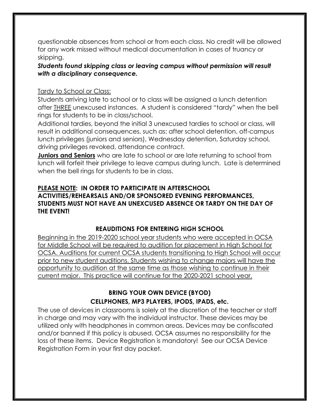questionable absences from school or from each class. No credit will be allowed for any work missed without medical documentation in cases of truancy or skipping.

## *Students found skipping class or leaving campus without permission will result with a disciplinary consequence.*

## Tardy to School or Class:

Students arriving late to school or to class will be assigned a lunch detention after THREE unexcused instances. A student is considered "tardy" when the bell rings for students to be in class/school.

Additional tardies, beyond the initial 3 unexcused tardies to school or class, will result in additional consequences, such as: after school detention, off-campus lunch privileges (juniors and seniors), Wednesday detention, Saturday school, driving privileges revoked, attendance contract.

**Juniors and Seniors** who are late to school or are late returning to school from lunch will forfeit their privilege to leave campus during lunch. Late is determined when the bell rings for students to be in class.

## **PLEASE NOTE: IN ORDER TO PARTICIPATE IN AFTERSCHOOL ACTIVITIES/REHEARSALS AND/OR SPONSORED EVENING PERFORMANCES, STUDENTS MUST NOT HAVE AN UNEXCUSED ABSENCE OR TARDY ON THE DAY OF THE EVENT!**

# **REAUDITIONS FOR ENTERING HIGH SCHOOL**

Beginning in the 2019-2020 school year students who were accepted in OCSA for Middle School will be required to audition for placement in High School for OCSA. Auditions for current OCSA students transitioning to High School will occur prior to new student auditions. Students wishing to change majors will have the opportunity to audition at the same time as those wishing to continue in their current major. This practice will continue for the 2020-2021 school year.

# **BRING YOUR OWN DEVICE (BYOD) CELLPHONES, MP3 PLAYERS, IPODS, IPADS, etc.**

The use of devices in classrooms is solely at the discretion of the teacher or staff in charge and may vary with the individual instructor. These devices may be utilized only with headphones in common areas. Devices may be confiscated and/or banned if this policy is abused. OCSA assumes no responsibility for the loss of these items. Device Registration is mandatory! See our OCSA Device Registration Form in your first day packet.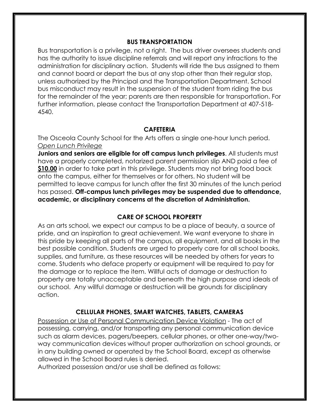#### **BUS TRANSPORTATION**

Bus transportation is a privilege, not a right. The bus driver oversees students and has the authority to issue discipline referrals and will report any infractions to the administration for disciplinary action. Students will ride the bus assigned to them and cannot board or depart the bus at any stop other than their regular stop, unless authorized by the Principal and the Transportation Department. School bus misconduct may result in the suspension of the student from riding the bus for the remainder of the year; parents are then responsible for transportation. For further information, please contact the Transportation Department at 407-518- 4540.

### **CAFETERIA**

The Osceola County School for the Arts offers a single one-hour lunch period. *Open Lunch Privilege*

**Juniors and seniors are eligible for off campus lunch privileges**. All students must have a properly completed, notarized parent permission slip AND paid a fee of **\$10.00** in order to take part in this privilege. Students may not bring food back onto the campus, either for themselves or for others. No student will be permitted to leave campus for lunch after the first 30 minutes of the lunch period has passed. **Off-campus lunch privileges may be suspended due to attendance, academic, or disciplinary concerns at the discretion of Administration.**

## **CARE OF SCHOOL PROPERTY**

As an arts school, we expect our campus to be a place of beauty, a source of pride, and an inspiration to great achievement. We want everyone to share in this pride by keeping all parts of the campus, all equipment, and all books in the best possible condition. Students are urged to properly care for all school books, supplies, and furniture, as these resources will be needed by others for years to come. Students who deface property or equipment will be required to pay for the damage or to replace the item. Willful acts of damage or destruction to property are totally unacceptable and beneath the high purpose and ideals of our school. Any willful damage or destruction will be grounds for disciplinary action.

## **CELLULAR PHONES, SMART WATCHES, TABLETS, CAMERAS**

Possession or Use of Personal Communication Device Violation - The act of possessing, carrying, and/or transporting any personal communication device such as alarm devices, pagers/beepers, cellular phones, or other one-way/twoway communication devices without proper authorization on school grounds, or in any building owned or operated by the School Board, except as otherwise allowed in the School Board rules is denied.

Authorized possession and/or use shall be defined as follows: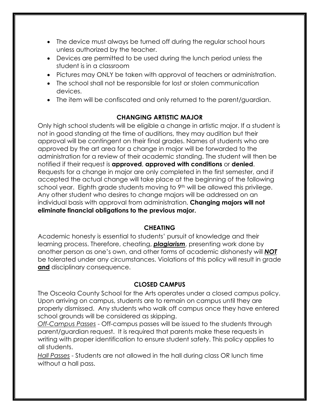- The device must always be turned off during the regular school hours unless authorized by the teacher.
- Devices are permitted to be used during the lunch period unless the student is in a classroom
- Pictures may ONLY be taken with approval of teachers or administration.
- The school shall not be responsible for lost or stolen communication devices.
- The item will be confiscated and only returned to the parent/guardian.

# **CHANGING ARTISTIC MAJOR**

Only high school students will be eligible a change in artistic major. If a student is not in good standing at the time of auditions, they may audition but their approval will be contingent on their final grades. Names of students who are approved by the art area for a change in major will be forwarded to the administration for a review of their academic standing. The student will then be notified if their request is **approved**, **approved with conditions** or **denied**. Requests for a change in major are only completed in the first semester, and if accepted the actual change will take place at the beginning of the following school year. Eighth grade students moving to 9<sup>th</sup> will be allowed this privilege. Any other student who desires to change majors will be addressed on an individual basis with approval from administration. **Changing majors will not eliminate financial obligations to the previous major.** 

# **CHEATING**

Academic honesty is essential to students' pursuit of knowledge and their learning process. Therefore, cheating, *plagiarism*, presenting work done by another person as one's own, and other forms of academic dishonesty will *NOT* be tolerated under any circumstances. Violations of this policy will result in grade **and** disciplinary consequence.

# **CLOSED CAMPUS**

The Osceola County School for the Arts operates under a closed campus policy. Upon arriving on campus, students are to remain on campus until they are properly dismissed. Any students who walk off campus once they have entered school grounds will be considered as skipping.

*Off-Campus Passes* - Off-campus passes will be issued to the students through parent/guardian request. It is required that parents make these requests in writing with proper identification to ensure student safety. This policy applies to all students.

*Hall Passes* - Students are not allowed in the hall during class OR lunch time without a hall pass.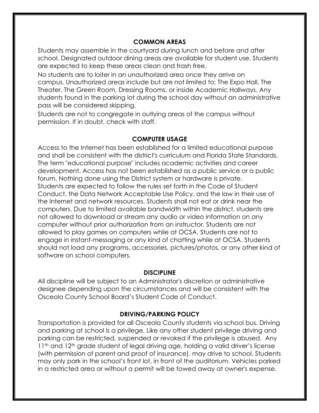#### **COMMON AREAS**

Students may assemble in the courtyard during lunch and before and after school. Designated outdoor dining areas are available for student use. Students are expected to keep these areas clean and trash free.

No students are to loiter in an unauthorized area once they arrive on campus. Unauthorized areas include but are not limited to; The Expo Hall, The Theater, The Green Room, Dressing Rooms, or inside Academic Hallways. Any students found in the parking lot during the school day without an administrative pass will be considered skipping.

Students are not to congregate in outlying areas of the campus without permission. If in doubt, check with staff.

#### **COMPUTER USAGE**

Access to the Internet has been established for a limited educational purpose and shall be consistent with the district's curriculum and Florida State Standards. The term "educational purpose" includes academic activities and career development. Access has not been established as a public service or a public forum. Nothing done using the District system or hardware is private. Students are expected to follow the rules set forth in the Code of Student Conduct, the Data Network Acceptable Use Policy, and the law in their use of the Internet and network resources. Students shall not eat or drink near the computers. Due to limited available bandwidth within the district, students are not allowed to download or stream any audio or video information on any computer without prior authorization from an instructor. Students are not allowed to play games on computers while at OCSA. Students are not to engage in instant-messaging or any kind of chatting while at OCSA. Students should not load any programs, accessories, pictures/photos, or any other kind of software on school computers.

#### **DISCIPLINE**

All discipline will be subject to an Administrator's discretion or administrative designee depending upon the circumstances and will be consistent with the Osceola County School Board's Student Code of Conduct.

#### **DRIVING/PARKING POLICY**

Transportation is provided for all Osceola County students via school bus. Driving and parking at school is a privilege. Like any other student privilege driving and parking can be restricted, suspended or revoked if the privilege is abused. Any 11<sup>th</sup> and 12<sup>th</sup> grade student of legal driving age, holding a valid driver's license (with permission of parent and proof of insurance), may drive to school. Students may only park in the school's front lot, in front of the auditorium. Vehicles parked in a restricted area or without a permit will be towed away at owner's expense.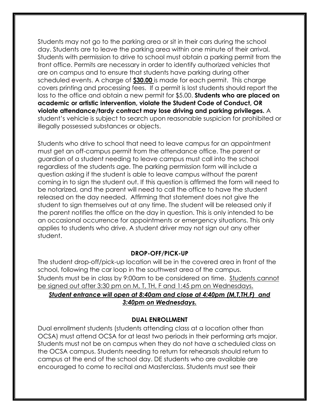Students may not go to the parking area or sit in their cars during the school day. Students are to leave the parking area within one minute of their arrival. Students with permission to drive to school must obtain a parking permit from the front office. Permits are necessary in order to identify authorized vehicles that are on campus and to ensure that students have parking during other scheduled events. A charge of **\$30.00** is made for each permit. This charge covers printing and processing fees. If a permit is lost students should report the loss to the office and obtain a new permit for \$5.00. **Students who are placed on academic or artistic intervention, violate the Student Code of Conduct, OR violate attendance/tardy contract may lose driving and parking privileges.** A student's vehicle is subject to search upon reasonable suspicion for prohibited or illegally possessed substances or objects.

Students who drive to school that need to leave campus for an appointment must get an off-campus permit from the attendance office. The parent or guardian of a student needing to leave campus must call into the school regardless of the students age. The parking permission form will include a question asking if the student is able to leave campus without the parent coming in to sign the student out. If this question is affirmed the form will need to be notarized, and the parent will need to call the office to have the student released on the day needed. Affirming that statement does not give the student to sign themselves out at any time. The student will be released only if the parent notifies the office on the day in question. This is only intended to be an occasional occurrence for appointments or emergency situations. This only applies to students who drive. A student driver may not sign out any other student.

#### **DROP-OFF/PICK-UP**

The student drop-off/pick-up location will be in the covered area in front of the school, following the car loop in the southwest area of the campus. Students must be in class by 9:00am to be considered on time. Students cannot be signed out after 3:30 pm on M, T, TH, F and 1:45 pm on Wednesdays. *Student entrance will open at 8:40am and close at 4:40pm (M,T,TH,F) and 3:40pm on Wednesdays.*

#### **DUAL ENROLLMENT**

Dual enrollment students (students attending class at a location other than OCSA) must attend OCSA for at least two periods in their performing arts major. Students must not be on campus when they do not have a scheduled class on the OCSA campus. Students needing to return for rehearsals should return to campus at the end of the school day. DE students who are available are encouraged to come to recital and Masterclass. Students must see their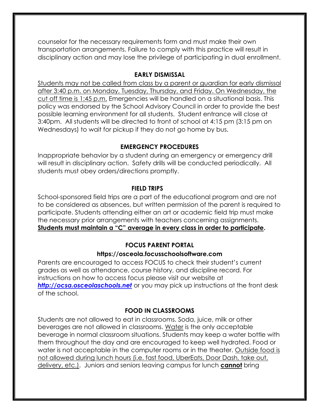counselor for the necessary requirements form and must make their own transportation arrangements. Failure to comply with this practice will result in disciplinary action and may lose the privilege of participating in dual enrollment.

#### **EARLY DISMISSAL**

Students may not be called from class by a parent or guardian for early dismissal after 3:40 p.m. on Monday, Tuesday, Thursday, and Friday. On Wednesday, the cut off time is 1:45 p.m. Emergencies will be handled on a situational basis. This policy was endorsed by the School Advisory Council in order to provide the best possible learning environment for all students. Student entrance will close at 3:40pm. All students will be directed to front of school at 4:15 pm (3:15 pm on Wednesdays) to wait for pickup if they do not go home by bus.

#### **EMERGENCY PROCEDURES**

Inappropriate behavior by a student during an emergency or emergency drill will result in disciplinary action. Safety drills will be conducted periodically. All students must obey orders/directions promptly.

#### **FIELD TRIPS**

School-sponsored field trips are a part of the educational program and are not to be considered as absences, but written permission of the parent is required to participate. Students attending either an art or academic field trip must make the necessary prior arrangements with teachers concerning assignments. **Students must maintain a "C" average in every class in order to participate.**

## **FOCUS PARENT PORTAL**

#### **https://osceola.focusschoolsoftware.com**

Parents are encouraged to access FOCUS to check their student's current grades as well as attendance, course history, and discipline record. For instructions on how to access focus please visit our website at *http://ocsa.osceolaschools.net* or you may pick up instructions at the front desk of the school.

## **FOOD IN CLASSROOMS**

Students are not allowed to eat in classrooms. Soda, juice, milk or other beverages are not allowed in classrooms. Water is the only acceptable beverage in normal classroom situations. Students may keep a water bottle with them throughout the day and are encouraged to keep well hydrated. Food or water is not acceptable in the computer rooms or in the theater. Outside food is not allowed during lunch hours (i.e. fast food, UberEats, Door Dash, take out, delivery, etc.). Juniors and seniors leaving campus for lunch **cannot** bring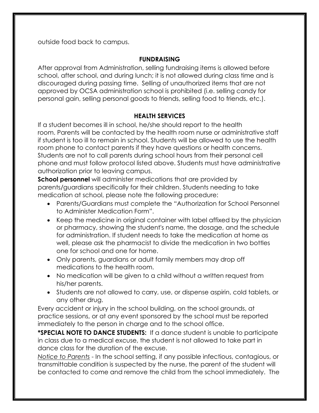outside food back to campus.

## **FUNDRAISING**

After approval from Administration, selling fundraising items is allowed before school, after school, and during lunch; it is not allowed during class time and is discouraged during passing time. Selling of unauthorized items that are not approved by OCSA administration school is prohibited (i.e. selling candy for personal gain, selling personal goods to friends, selling food to friends, etc.).

# **HEALTH SERVICES**

If a student becomes ill in school, he/she should report to the health room. Parents will be contacted by the health room nurse or administrative staff if student is too ill to remain in school. Students will be allowed to use the health room phone to contact parents if they have questions or health concerns. Students are not to call parents during school hours from their personal cell phone and must follow protocol listed above. Students must have administrative authorization prior to leaving campus.

**School personnel** will administer medications that are provided by parents/guardians specifically for their children. Students needing to take medication at school, please note the following procedure:

- Parents/Guardians must complete the "Authorization for School Personnel to Administer Medication Form".
- Keep the medicine in original container with label affixed by the physician or pharmacy, showing the student's name, the dosage, and the schedule for administration. If student needs to take the medication at home as well, please ask the pharmacist to divide the medication in two bottles one for school and one for home.
- Only parents, guardians or adult family members may drop off medications to the health room.
- No medication will be given to a child without a written request from his/her parents.
- Students are not allowed to carry, use, or dispense aspirin, cold tablets, or any other drug.

Every accident or injury in the school building, on the school grounds, at practice sessions, or at any event sponsored by the school must be reported immediately to the person in charge and to the school office.

**\*SPECIAL NOTE TO DANCE STUDENTS:** If a dance student is unable to participate in class due to a medical excuse, the student is not allowed to take part in dance class for the duration of the excuse.

*Notice to Parents* - In the school setting, if any possible infectious, contagious, or transmittable condition is suspected by the nurse, the parent of the student will be contacted to come and remove the child from the school immediately. The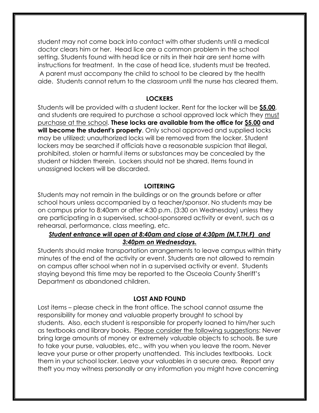student may not come back into contact with other students until a medical doctor clears him or her. Head lice are a common problem in the school setting. Students found with head lice or nits in their hair are sent home with instructions for treatment. In the case of head lice, students must be treated. A parent must accompany the child to school to be cleared by the health aide. Students cannot return to the classroom until the nurse has cleared them.

#### **LOCKERS**

Students will be provided with a student locker. Rent for the locker will be **\$5.00**, and students are required to purchase a school approved lock which they must purchase at the school. **These locks are available from the office for \$5.00 and will become the student's property**. Only school approved and supplied locks may be utilized; unauthorized locks will be removed from the locker. Student lockers may be searched if officials have a reasonable suspicion that illegal, prohibited, stolen or harmful items or substances may be concealed by the student or hidden therein. Lockers should not be shared. Items found in unassigned lockers will be discarded.

#### **LOITERING**

Students may not remain in the buildings or on the grounds before or after school hours unless accompanied by a teacher/sponsor. No students may be on campus prior to 8:40am or after 4:30 p.m. (3:30 on Wednesday) unless they are participating in a supervised, school-sponsored activity or event, such as a rehearsal, performance, class meeting, etc.

## *Student entrance will open at 8:40am and close at 4:30pm (M,T,TH,F) and 3:40pm on Wednesdays.*

Students should make transportation arrangements to leave campus within thirty minutes of the end of the activity or event. Students are not allowed to remain on campus after school when not in a supervised activity or event. Students staying beyond this time may be reported to the Osceola County Sheriff's Department as abandoned children.

#### **LOST AND FOUND**

Lost items – please check in the front office. The school cannot assume the responsibility for money and valuable property brought to school by students. Also, each student is responsible for property loaned to him/her such as textbooks and library books. Please consider the following suggestions: Never bring large amounts of money or extremely valuable objects to schools. Be sure to take your purse, valuables, etc., with you when you leave the room. Never leave your purse or other property unattended. This includes textbooks. Lock them in your school locker. Leave your valuables in a secure area. Report any theft you may witness personally or any information you might have concerning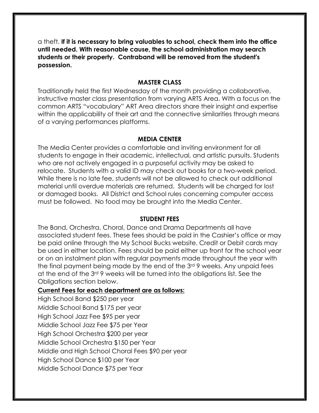a theft. **If it is necessary to bring valuables to school, check them into the office until needed. With reasonable cause, the school administration may search students or their property. Contraband will be removed from the student's possession.**

#### **MASTER CLASS**

Traditionally held the first Wednesday of the month providing a collaborative, instructive master class presentation from varying ARTS Area. With a focus on the common ARTS "vocabulary" ART Area directors share their insight and expertise within the applicability of their art and the connective similarities through means of a varying performances platforms.

#### **MEDIA CENTER**

The Media Center provides a comfortable and inviting environment for all students to engage in their academic, intellectual, and artistic pursuits. Students who are not actively engaged in a purposeful activity may be asked to relocate. Students with a valid ID may check out books for a two-week period. While there is no late fee, students will not be allowed to check out additional material until overdue materials are returned. Students will be charged for lost or damaged books. All District and School rules concerning computer access must be followed. No food may be brought into the Media Center.

#### **STUDENT FEES**

The Band, Orchestra, Choral, Dance and Drama Departments all have associated student fees. These fees should be paid in the Cashier's office or may be paid online through the My School Bucks website. Credit or Debit cards may be used in either location. Fees should be paid either up front for the school year or on an instalment plan with regular payments made throughout the year with the final payment being made by the end of the 3<sup>rd</sup> 9 weeks. Any unpaid fees at the end of the 3rd 9 weeks will be turned into the obligations list. See the Obligations section below.

#### **Current Fees for each department are as follows:**

High School Band \$250 per year Middle School Band \$175 per year High School Jazz Fee \$95 per year Middle School Jazz Fee \$75 per Year High School Orchestra \$200 per year Middle School Orchestra \$150 per Year Middle and High School Choral Fees \$90 per year High School Dance \$100 per Year Middle School Dance \$75 per Year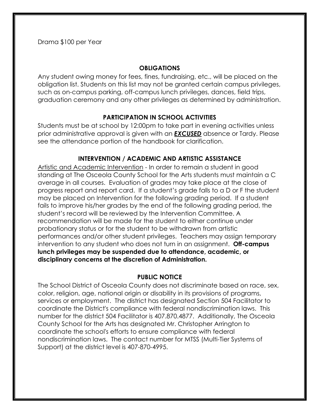Drama \$100 per Year

## **OBLIGATIONS**

Any student owing money for fees, fines, fundraising, etc., will be placed on the obligation list. Students on this list may not be granted certain campus privileges, such as on-campus parking, off-campus lunch privileges, dances, field trips, graduation ceremony and any other privileges as determined by administration.

# **PARTICIPATION IN SCHOOL ACTIVITIES**

Students must be at school by 12:00pm to take part in evening activities unless prior administrative approval is given with an *EXCUSED* absence or Tardy. Please see the attendance portion of the handbook for clarification.

# **INTERVENTION / ACADEMIC AND ARTISTIC ASSISTANCE**

Artistic and Academic Intervention - In order to remain a student in good standing at The Osceola County School for the Arts students must maintain a C average in all courses. Evaluation of grades may take place at the close of progress report and report card. If a student's grade falls to a D or F the student may be placed on Intervention for the following grading period. If a student fails to improve his/her grades by the end of the following grading period, the student's record will be reviewed by the Intervention Committee. A recommendation will be made for the student to either continue under probationary status or for the student to be withdrawn from artistic performances and/or other student privileges. Teachers may assign temporary intervention to any student who does not turn in an assignment. **Off-campus lunch privileges may be suspended due to attendance, academic, or disciplinary concerns at the discretion of Administration.**

# **PUBLIC NOTICE**

The School District of Osceola County does not discriminate based on race, sex, color, religion, age, national origin or disability in its provisions of programs, services or employment. The district has designated Section 504 Facilitator to coordinate the District's compliance with federal nondiscrimination laws. This number for the district 504 Facilitator is 407.870.4877. Additionally, The Osceola County School for the Arts has designated Mr. Christopher Arrington to coordinate the school's efforts to ensure compliance with federal nondiscrimination laws. The contact number for MTSS (Multi-Tier Systems of Support) at the district level is 407-870-4995.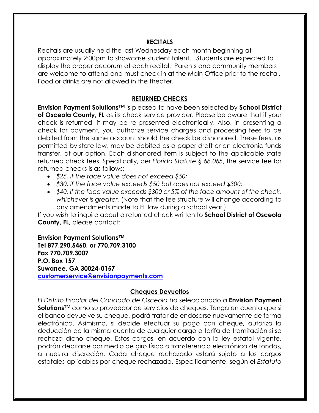#### **RECITALS**

Recitals are usually held the last Wednesday each month beginning at approximately 2:00pm to showcase student talent. Students are expected to display the proper decorum at each recital. Parents and community members are welcome to attend and must check in at the Main Office prior to the recital. Food or drinks are not allowed in the theater.

### **RETURNED CHECKS**

**Envision Payment Solutions**™ is pleased to have been selected by **School District of Osceola County, FL** as its check service provider. Please be aware that if your check is returned, it may be re-presented electronically. Also, in presenting a check for payment, you authorize service charges and processing fees to be debited from the same account should the check be dishonored. These fees, as permitted by state law, may be debited as a paper draft or an electronic funds transfer, at our option. Each dishonored item is subject to the applicable state returned check fees. Specifically, per *Florida Statute § 68.065*, the service fee for returned checks is as follows:

- *\$25, if the face value does not exceed \$50;*
- *\$30, if the face value exceeds \$50 but does not exceed \$300;*
- *\$40, if the face value exceeds \$300 or 5% of the face amount of the check, whichever is greater.* (Note that the fee structure will change according to any amendments made to FL law during a school year.)

If you wish to inquire about a returned check written to **School District of Osceola County, FL**, please contact:

#### **Envision Payment Solutions™**

**Tel 877.290.5460, or 770.709.3100 Fax 770.709.3007 P.O. Box 157 Suwanee, GA 30024-0157 customerservice@envisionpayments.com**

#### **Cheques Devueltos**

*El Distrito Escolar del Condado de Osceola* ha seleccionado a **Envision Payment Solutions**™ como su proveedor de servicios de cheques. Tenga en cuenta que si el banco devuelve su cheque, podrá tratar de endosarse nuevamente de forma electrónica. Asimismo, si decide efectuar su pago con cheque, autoriza la deducción de la misma cuenta de cualquier cargo o tarifa de tramitación si se rechaza dicho cheque. Estos cargos, en acuerdo con la ley estatal vigente, podrán debitarse por medio de giro físico o transferencia electrónica de fondos, a nuestra discreción. Cada cheque rechazado estará sujeto a los cargos estatales aplicables por cheque rechazado. Específicamente, según el *Estatuto*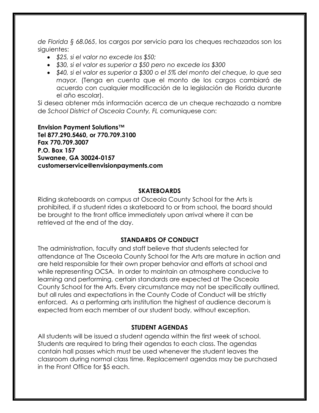*de Florida § 68.065*, los cargos por servicio para los cheques rechazados son los siguientes:

- *\$25, si el valor no excede los \$50;*
- *\$30, si el valor es superior a \$50 pero no excede los \$300*
- *\$40, si el valor es superior a \$300 o el 5% del monto del cheque, lo que sea mayor.* (Tenga en cuenta que el monto de los cargos cambiará de acuerdo con cualquier modificación de la legislación de Florida durante el año escolar).

Si desea obtener más información acerca de un cheque rechazado a nombre de *School District of Osceola County, FL* comuniquese con:

**Envision Payment Solutions™ Tel 877.290.5460, or 770.709.3100 Fax 770.709.3007 P.O. Box 157 Suwanee, GA 30024-0157 customerservice@envisionpayments.com**

#### **SKATEBOARDS**

Riding skateboards on campus at Osceola County School for the Arts is prohibited, if a student rides a skateboard to or from school, the board should be brought to the front office immediately upon arrival where it can be retrieved at the end of the day.

#### **STANDARDS OF CONDUCT**

The administration, faculty and staff believe that students selected for attendance at The Osceola County School for the Arts are mature in action and are held responsible for their own proper behavior and efforts at school and while representing OCSA. In order to maintain an atmosphere conducive to learning and performing, certain standards are expected at The Osceola County School for the Arts. Every circumstance may not be specifically outlined, but all rules and expectations in the County Code of Conduct will be strictly enforced. As a performing arts institution the highest of audience decorum is expected from each member of our student body, without exception.

#### **STUDENT AGENDAS**

All students will be issued a student agenda within the first week of school. Students are required to bring their agendas to each class. The agendas contain hall passes which must be used whenever the student leaves the classroom during normal class time. Replacement agendas may be purchased in the Front Office for \$5 each.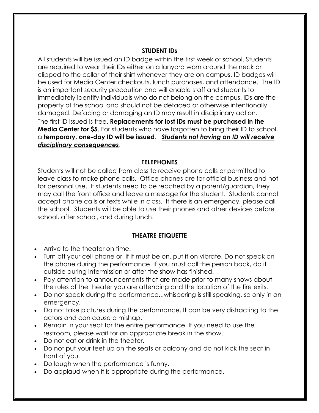## **STUDENT IDs**

All students will be issued an ID badge within the first week of school. Students are required to wear their IDs either on a lanyard worn around the neck or clipped to the collar of their shirt whenever they are on campus. ID badges will be used for Media Center checkouts, lunch purchases, and attendance. The ID is an important security precaution and will enable staff and students to immediately identify individuals who do not belong on the campus. IDs are the property of the school and should not be defaced or otherwise intentionally damaged. Defacing or damaging an ID may result in disciplinary action. The first ID issued is free. **Replacements for lost IDs must be purchased in the Media Center for \$5**. For students who have forgotten to bring their ID to school, a **temporary, one-day ID will be issued**. *Students not having an ID will receive disciplinary consequences*.

## **TELEPHONES**

Students will not be called from class to receive phone calls or permitted to leave class to make phone calls. Office phones are for official business and not for personal use. If students need to be reached by a parent/guardian, they may call the front office and leave a message for the student. Students cannot accept phone calls or texts while in class. If there is an emergency, please call the school. Students will be able to use their phones and other devices before school, after school, and during lunch.

# **THEATRE ETIQUETTE**

- Arrive to the theater on time.
- Turn off your cell phone or, if it must be on, put it on vibrate. Do not speak on the phone during the performance. If you must call the person back, do it outside during intermission or after the show has finished.
- Pay attention to announcements that are made prior to many shows about the rules of the theater you are attending and the location of the fire exits.
- Do not speak during the performance...whispering is still speaking, so only in an emergency.
- Do not take pictures during the performance. It can be very distracting to the actors and can cause a mishap.
- Remain in your seat for the entire performance. If you need to use the restroom, please wait for an appropriate break in the show.
- Do not eat or drink in the theater.
- Do not put your feet up on the seats or balcony and do not kick the seat in front of you.
- Do laugh when the performance is funny.
- Do applaud when it is appropriate during the performance.